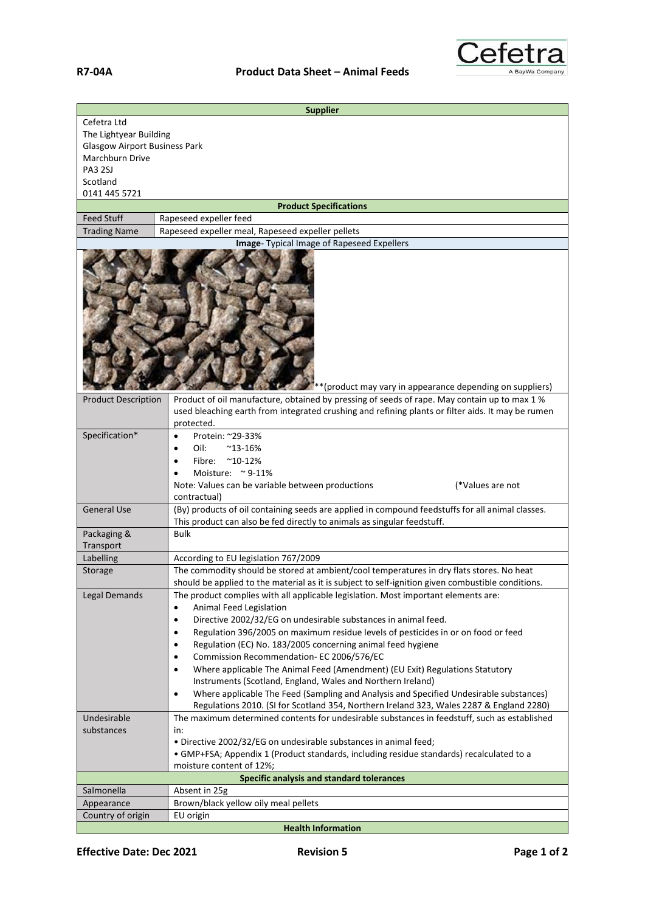

| <b>Supplier</b>                                                                                                                |                                                                                                                                                                                                                                                                                                                                                                                                                                                                                                                                                                                                                                                                                                                                                                                                  |  |
|--------------------------------------------------------------------------------------------------------------------------------|--------------------------------------------------------------------------------------------------------------------------------------------------------------------------------------------------------------------------------------------------------------------------------------------------------------------------------------------------------------------------------------------------------------------------------------------------------------------------------------------------------------------------------------------------------------------------------------------------------------------------------------------------------------------------------------------------------------------------------------------------------------------------------------------------|--|
| Cefetra Ltd<br>The Lightyear Building<br><b>Glasgow Airport Business Park</b><br>Marchburn Drive<br><b>PA3 2SJ</b><br>Scotland |                                                                                                                                                                                                                                                                                                                                                                                                                                                                                                                                                                                                                                                                                                                                                                                                  |  |
| 0141 445 5721<br><b>Product Specifications</b>                                                                                 |                                                                                                                                                                                                                                                                                                                                                                                                                                                                                                                                                                                                                                                                                                                                                                                                  |  |
| <b>Feed Stuff</b>                                                                                                              | Rapeseed expeller feed                                                                                                                                                                                                                                                                                                                                                                                                                                                                                                                                                                                                                                                                                                                                                                           |  |
| <b>Trading Name</b>                                                                                                            | Rapeseed expeller meal, Rapeseed expeller pellets                                                                                                                                                                                                                                                                                                                                                                                                                                                                                                                                                                                                                                                                                                                                                |  |
| Image- Typical Image of Rapeseed Expellers<br>*(product may vary in appearance depending on suppliers)                         |                                                                                                                                                                                                                                                                                                                                                                                                                                                                                                                                                                                                                                                                                                                                                                                                  |  |
| <b>Product Description</b>                                                                                                     | Product of oil manufacture, obtained by pressing of seeds of rape. May contain up to max 1 %<br>used bleaching earth from integrated crushing and refining plants or filter aids. It may be rumen<br>protected.                                                                                                                                                                                                                                                                                                                                                                                                                                                                                                                                                                                  |  |
| Specification*                                                                                                                 | Protein: ~29-33%<br>$\bullet$<br>Oil:<br>$^{\sim}$ 13-16%<br>$\bullet$<br>Fibre:<br>$^{\sim}$ 10-12%<br>$\bullet$<br>Moisture: $\approx$ 9-11%<br>Note: Values can be variable between productions<br>(*Values are not<br>contractual)                                                                                                                                                                                                                                                                                                                                                                                                                                                                                                                                                           |  |
| <b>General Use</b>                                                                                                             | (By) products of oil containing seeds are applied in compound feedstuffs for all animal classes.<br>This product can also be fed directly to animals as singular feedstuff.                                                                                                                                                                                                                                                                                                                                                                                                                                                                                                                                                                                                                      |  |
| Packaging &                                                                                                                    | <b>Bulk</b>                                                                                                                                                                                                                                                                                                                                                                                                                                                                                                                                                                                                                                                                                                                                                                                      |  |
| Transport                                                                                                                      |                                                                                                                                                                                                                                                                                                                                                                                                                                                                                                                                                                                                                                                                                                                                                                                                  |  |
| Labelling<br>Storage                                                                                                           | According to EU legislation 767/2009<br>The commodity should be stored at ambient/cool temperatures in dry flats stores. No heat                                                                                                                                                                                                                                                                                                                                                                                                                                                                                                                                                                                                                                                                 |  |
|                                                                                                                                | should be applied to the material as it is subject to self-ignition given combustible conditions.                                                                                                                                                                                                                                                                                                                                                                                                                                                                                                                                                                                                                                                                                                |  |
| Legal Demands                                                                                                                  | The product complies with all applicable legislation. Most important elements are:<br>Animal Feed Legislation<br>$\bullet$<br>Directive 2002/32/EG on undesirable substances in animal feed.<br>$\bullet$<br>Regulation 396/2005 on maximum residue levels of pesticides in or on food or feed<br>٠<br>Regulation (EC) No. 183/2005 concerning animal feed hygiene<br>٠<br>Commission Recommendation- EC 2006/576/EC<br>$\bullet$<br>Where applicable The Animal Feed (Amendment) (EU Exit) Regulations Statutory<br>$\bullet$<br>Instruments (Scotland, England, Wales and Northern Ireland)<br>Where applicable The Feed (Sampling and Analysis and Specified Undesirable substances)<br>$\bullet$<br>Regulations 2010. (SI for Scotland 354, Northern Ireland 323, Wales 2287 & England 2280) |  |
| Undesirable                                                                                                                    | The maximum determined contents for undesirable substances in feedstuff, such as established                                                                                                                                                                                                                                                                                                                                                                                                                                                                                                                                                                                                                                                                                                     |  |
| substances                                                                                                                     | in:<br>. Directive 2002/32/EG on undesirable substances in animal feed;<br>• GMP+FSA; Appendix 1 (Product standards, including residue standards) recalculated to a<br>moisture content of 12%;                                                                                                                                                                                                                                                                                                                                                                                                                                                                                                                                                                                                  |  |
|                                                                                                                                | Specific analysis and standard tolerances                                                                                                                                                                                                                                                                                                                                                                                                                                                                                                                                                                                                                                                                                                                                                        |  |
| Salmonella<br>Appearance                                                                                                       | Absent in 25g<br>Brown/black yellow oily meal pellets                                                                                                                                                                                                                                                                                                                                                                                                                                                                                                                                                                                                                                                                                                                                            |  |
| Country of origin                                                                                                              | EU origin                                                                                                                                                                                                                                                                                                                                                                                                                                                                                                                                                                                                                                                                                                                                                                                        |  |
|                                                                                                                                | <b>Health Information</b>                                                                                                                                                                                                                                                                                                                                                                                                                                                                                                                                                                                                                                                                                                                                                                        |  |